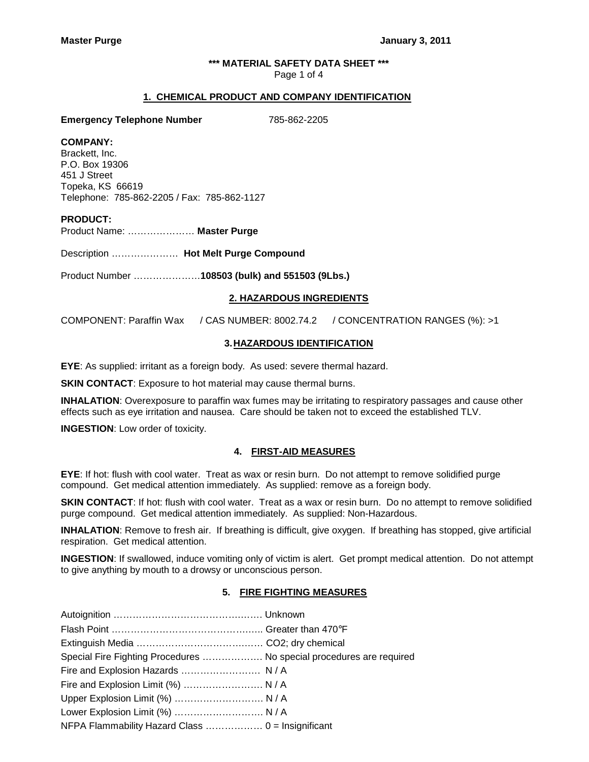## **\*\*\* MATERIAL SAFETY DATA SHEET \*\*\***

Page 1 of 4

### **1. CHEMICAL PRODUCT AND COMPANY IDENTIFICATION**

**Emergency Telephone Number** 785-862-2205

## **COMPANY:**

Brackett, Inc. P.O. Box 19306 451 J Street Topeka, KS 66619 Telephone: 785-862-2205 / Fax: 785-862-1127

## **PRODUCT:**

Product Name: ………………… **Master Purge** 

Description ………………… **Hot Melt Purge Compound**

Product Number …………………**108503 (bulk) and 551503 (9Lbs.)**

## **2. HAZARDOUS INGREDIENTS**

COMPONENT: Paraffin Wax / CAS NUMBER: 8002.74.2 / CONCENTRATION RANGES (%): >1

# **3. HAZARDOUS IDENTIFICATION**

**EYE**: As supplied: irritant as a foreign body. As used: severe thermal hazard.

**SKIN CONTACT:** Exposure to hot material may cause thermal burns.

**INHALATION**: Overexposure to paraffin wax fumes may be irritating to respiratory passages and cause other effects such as eye irritation and nausea. Care should be taken not to exceed the established TLV.

**INGESTION**: Low order of toxicity.

### **4. FIRST-AID MEASURES**

**EYE**: If hot: flush with cool water. Treat as wax or resin burn. Do not attempt to remove solidified purge compound. Get medical attention immediately. As supplied: remove as a foreign body.

**SKIN CONTACT**: If hot: flush with cool water. Treat as a wax or resin burn. Do no attempt to remove solidified purge compound. Get medical attention immediately. As supplied: Non-Hazardous.

**INHALATION**: Remove to fresh air. If breathing is difficult, give oxygen. If breathing has stopped, give artificial respiration. Get medical attention.

**INGESTION**: If swallowed, induce vomiting only of victim is alert. Get prompt medical attention. Do not attempt to give anything by mouth to a drowsy or unconscious person.

## **5. FIRE FIGHTING MEASURES**

| Special Fire Fighting Procedures  No special procedures are required |  |
|----------------------------------------------------------------------|--|
|                                                                      |  |
| Fire and Explosion Limit (%)  N / A                                  |  |
| Upper Explosion Limit (%)  N / A                                     |  |
| Lower Explosion Limit (%)  N / A                                     |  |
|                                                                      |  |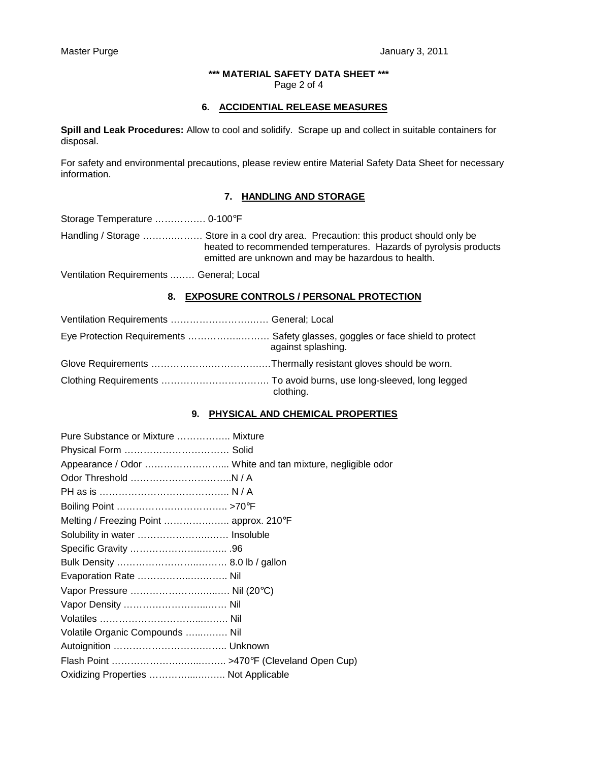### **\*\*\* MATERIAL SAFETY DATA SHEET \*\*\***  Page 2 of 4

## **6. ACCIDENTIAL RELEASE MEASURES**

**Spill and Leak Procedures:** Allow to cool and solidify. Scrape up and collect in suitable containers for disposal.

For safety and environmental precautions, please review entire Material Safety Data Sheet for necessary information.

# **7. HANDLING AND STORAGE**

Storage Temperature ……………. 0-100°F

Handling / Storage ……….……… Store in a cool dry area. Precaution: this product should only be heated to recommended temperatures. Hazards of pyrolysis products emitted are unknown and may be hazardous to health.

Ventilation Requirements ..…… General; Local

## **8. EXPOSURE CONTROLS / PERSONAL PROTECTION**

| Eye Protection Requirements  Safety glasses, goggles or face shield to protect | against splashing. |
|--------------------------------------------------------------------------------|--------------------|
|                                                                                |                    |
|                                                                                | clothing.          |

## **9. PHYSICAL AND CHEMICAL PROPERTIES**

| Pure Substance or Mixture  Mixture      |  |
|-----------------------------------------|--|
|                                         |  |
|                                         |  |
|                                         |  |
|                                         |  |
|                                         |  |
| Melting / Freezing Point  approx. 210°F |  |
| Solubility in water  Insoluble          |  |
|                                         |  |
|                                         |  |
|                                         |  |
|                                         |  |
|                                         |  |
|                                         |  |
| Volatile Organic Compounds  Nil         |  |
|                                         |  |
|                                         |  |
| Oxidizing Properties  Not Applicable    |  |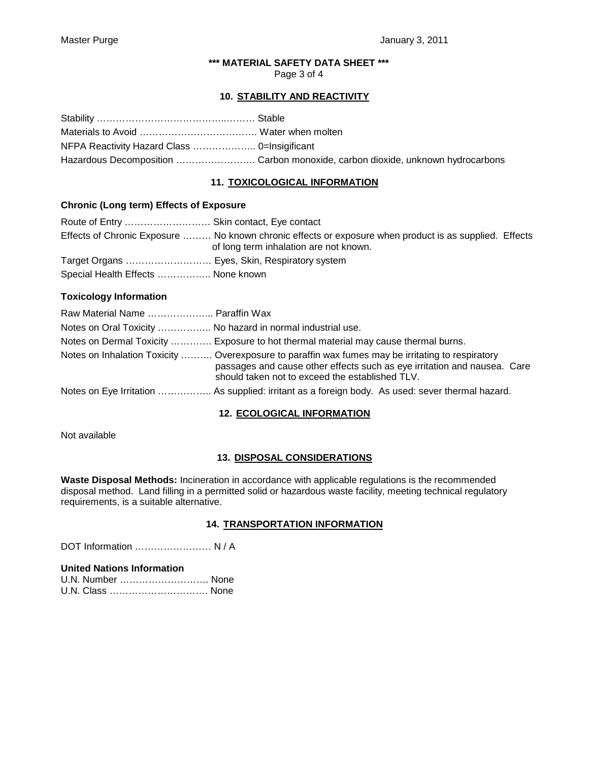# **\*\*\* MATERIAL SAFETY DATA SHEET \*\*\***

Page 3 of 4

## **10. STABILITY AND REACTIVITY**

| Hazardous Decomposition  Carbon monoxide, carbon dioxide, unknown hydrocarbons |
|--------------------------------------------------------------------------------|

# **11. TOXICOLOGICAL INFORMATION**

## **Chronic (Long term) Effects of Exposure**

| Route of Entry  Skin contact, Eye contact     |                                                                                                                                                  |  |
|-----------------------------------------------|--------------------------------------------------------------------------------------------------------------------------------------------------|--|
|                                               | Effects of Chronic Exposure  No known chronic effects or exposure when product is as supplied. Effects<br>of long term inhalation are not known. |  |
| Target Organs  Eyes, Skin, Respiratory system |                                                                                                                                                  |  |
| Special Health Effects  None known            |                                                                                                                                                  |  |

## **Toxicology Information**

| Raw Material Name  Paraffin Wax                             |                                                                                                                                                                                                                                  |
|-------------------------------------------------------------|----------------------------------------------------------------------------------------------------------------------------------------------------------------------------------------------------------------------------------|
| Notes on Oral Toxicity  No hazard in normal industrial use. |                                                                                                                                                                                                                                  |
|                                                             | Notes on Dermal Toxicity  Exposure to hot thermal material may cause thermal burns.                                                                                                                                              |
|                                                             | Notes on Inhalation Toxicity  Overexposure to paraffin wax fumes may be irritating to respiratory<br>passages and cause other effects such as eye irritation and nausea. Care<br>should taken not to exceed the established TLV. |
|                                                             | Notes on Eye Irritation  As supplied: irritant as a foreign body. As used: sever thermal hazard.                                                                                                                                 |

# **12. ECOLOGICAL INFORMATION**

Not available

# **13. DISPOSAL CONSIDERATIONS**

**Waste Disposal Methods:** Incineration in accordance with applicable regulations is the recommended disposal method. Land filling in a permitted solid or hazardous waste facility, meeting technical regulatory requirements, is a suitable alternative.

# **14. TRANSPORTATION INFORMATION**

DOT Information …………………… N / A

## **United Nations Information**

| U.N. Number  None |  |
|-------------------|--|
| U.N. Class  None  |  |